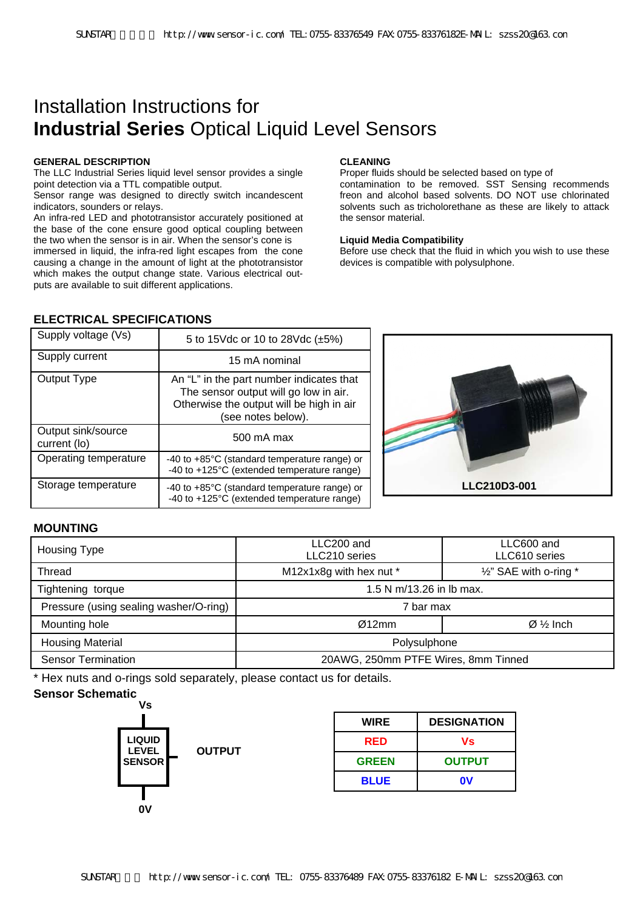# Installation Instructions for **Industrial Series** Optical Liquid Level Sensors

#### **GENERAL DESCRIPTION**

The LLC Industrial Series liquid level sensor provides a single point detection via a TTL compatible output.

Sensor range was designed to directly switch incandescent indicators, sounders or relays.

An infra-red LED and phototransistor accurately positioned at the base of the cone ensure good optical coupling between the two when the sensor is in air. When the sensor's cone is immersed in liquid, the infra-red light escapes from the cone causing a change in the amount of light at the phototransistor which makes the output change state. Various electrical outputs are available to suit different applications.

### **CLEANING**

Proper fluids should be selected based on type of contamination to be removed. SST Sensing recommends freon and alcohol based solvents. DO NOT use chlorinated solvents such as tricholorethane as these are likely to attack the sensor material.

#### **Liquid Media Compatibility**

Before use check that the fluid in which you wish to use these devices is compatible with polysulphone.

# **ELECTRICAL SPECIFICATIONS**

| Supply voltage (Vs)                | 5 to 15Vdc or 10 to 28Vdc (±5%)                                                                                                                     |
|------------------------------------|-----------------------------------------------------------------------------------------------------------------------------------------------------|
| Supply current                     | 15 mA nominal                                                                                                                                       |
| Output Type                        | An "L" in the part number indicates that<br>The sensor output will go low in air.<br>Otherwise the output will be high in air<br>(see notes below). |
| Output sink/source<br>current (lo) | 500 mA max                                                                                                                                          |
| Operating temperature              | -40 to +85°C (standard temperature range) or<br>-40 to +125°C (extended temperature range)                                                          |
| Storage temperature                | -40 to +85°C (standard temperature range) or<br>-40 to +125°C (extended temperature range)                                                          |



## **MOUNTING**

| Housing Type                           | LLC200 and<br>LLC600 and<br>LLC210 series<br>LLC610 series |                                     |
|----------------------------------------|------------------------------------------------------------|-------------------------------------|
| <b>Thread</b>                          | M12x1x8g with hex nut *                                    | $\frac{1}{2}$ " SAE with o-ring $*$ |
| Tightening torque                      | 1.5 N m/13.26 in lb max.                                   |                                     |
| Pressure (using sealing washer/O-ring) | 7 bar max                                                  |                                     |
| Mounting hole                          | Ø12mm                                                      | $\varnothing \frac{1}{2}$ Inch      |
| <b>Housing Material</b>                | Polysulphone                                               |                                     |
| <b>Sensor Termination</b>              | 20AWG, 250mm PTFE Wires, 8mm Tinned                        |                                     |

\* Hex nuts and o-rings sold separately, please contact us for details.

# **Sensor Schematic**



| <b>WIRE</b>  | <b>DESIGNATION</b> |
|--------------|--------------------|
| RED          | Vs                 |
| <b>GREEN</b> | <b>OUTPUT</b>      |
| <b>BLUE</b>  | 0V                 |